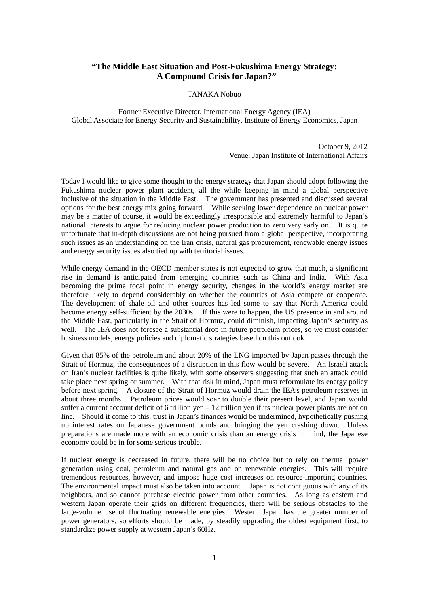## **"The Middle East Situation and Post-Fukushima Energy Strategy: A Compound Crisis for Japan?"**

## TANAKA Nobuo

Former Executive Director, International Energy Agency (IEA) Global Associate for Energy Security and Sustainability, Institute of Energy Economics, Japan

> October 9, 2012 Venue: Japan Institute of International Affairs

Today I would like to give some thought to the energy strategy that Japan should adopt following the Fukushima nuclear power plant accident, all the while keeping in mind a global perspective inclusive of the situation in the Middle East. The government has presented and discussed several options for the best energy mix going forward. While seeking lower dependence on nuclear power may be a matter of course, it would be exceedingly irresponsible and extremely harmful to Japan's national interests to argue for reducing nuclear power production to zero very early on. It is quite unfortunate that in-depth discussions are not being pursued from a global perspective, incorporating such issues as an understanding on the Iran crisis, natural gas procurement, renewable energy issues and energy security issues also tied up with territorial issues.

While energy demand in the OECD member states is not expected to grow that much, a significant rise in demand is anticipated from emerging countries such as China and India. With Asia becoming the prime focal point in energy security, changes in the world's energy market are therefore likely to depend considerably on whether the countries of Asia compete or cooperate. The development of shale oil and other sources has led some to say that North America could become energy self-sufficient by the 2030s. If this were to happen, the US presence in and around the Middle East, particularly in the Strait of Hormuz, could diminish, impacting Japan's security as well. The IEA does not foresee a substantial drop in future petroleum prices, so we must consider business models, energy policies and diplomatic strategies based on this outlook.

Given that 85% of the petroleum and about 20% of the LNG imported by Japan passes through the Strait of Hormuz, the consequences of a disruption in this flow would be severe. An Israeli attack on Iran's nuclear facilities is quite likely, with some observers suggesting that such an attack could take place next spring or summer. With that risk in mind, Japan must reformulate its energy policy before next spring. A closure of the Strait of Hormuz would drain the IEA's petroleum reserves in about three months. Petroleum prices would soar to double their present level, and Japan would suffer a current account deficit of  $6$  trillion yen  $-12$  trillion yen if its nuclear power plants are not on line. Should it come to this, trust in Japan's finances would be undermined, hypothetically pushing up interest rates on Japanese government bonds and bringing the yen crashing down. Unless preparations are made more with an economic crisis than an energy crisis in mind, the Japanese economy could be in for some serious trouble.

If nuclear energy is decreased in future, there will be no choice but to rely on thermal power generation using coal, petroleum and natural gas and on renewable energies. This will require tremendous resources, however, and impose huge cost increases on resource-importing countries. The environmental impact must also be taken into account. Japan is not contiguous with any of its neighbors, and so cannot purchase electric power from other countries. As long as eastern and western Japan operate their grids on different frequencies, there will be serious obstacles to the large-volume use of fluctuating renewable energies. Western Japan has the greater number of power generators, so efforts should be made, by steadily upgrading the oldest equipment first, to standardize power supply at western Japan's 60Hz.